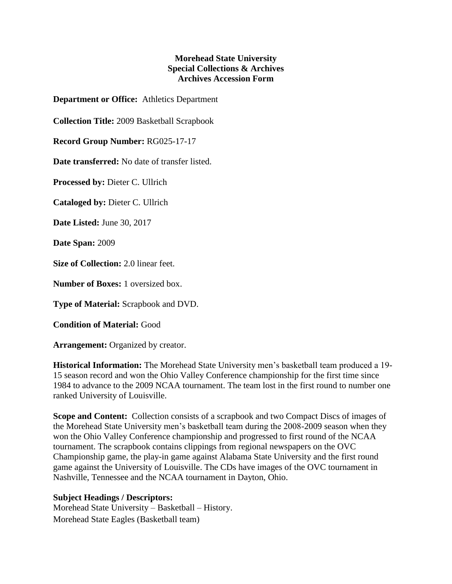## **Morehead State University Special Collections & Archives Archives Accession Form**

**Department or Office:** Athletics Department

**Collection Title:** 2009 Basketball Scrapbook

**Record Group Number:** RG025-17-17

**Date transferred:** No date of transfer listed.

**Processed by:** Dieter C. Ullrich

**Cataloged by:** Dieter C. Ullrich

**Date Listed:** June 30, 2017

**Date Span:** 2009

**Size of Collection:** 2.0 linear feet.

**Number of Boxes:** 1 oversized box.

**Type of Material:** Scrapbook and DVD.

**Condition of Material:** Good

**Arrangement:** Organized by creator.

**Historical Information:** The Morehead State University men's basketball team produced a 19- 15 season record and won the Ohio Valley Conference championship for the first time since 1984 to advance to the 2009 NCAA tournament. The team lost in the first round to number one ranked University of Louisville.

**Scope and Content:** Collection consists of a scrapbook and two Compact Discs of images of the Morehead State University men's basketball team during the 2008-2009 season when they won the Ohio Valley Conference championship and progressed to first round of the NCAA tournament. The scrapbook contains clippings from regional newspapers on the OVC Championship game, the play-in game against Alabama State University and the first round game against the University of Louisville. The CDs have images of the OVC tournament in Nashville, Tennessee and the NCAA tournament in Dayton, Ohio.

## **Subject Headings / Descriptors:**

Morehead State University – Basketball – History. Morehead State Eagles (Basketball team)